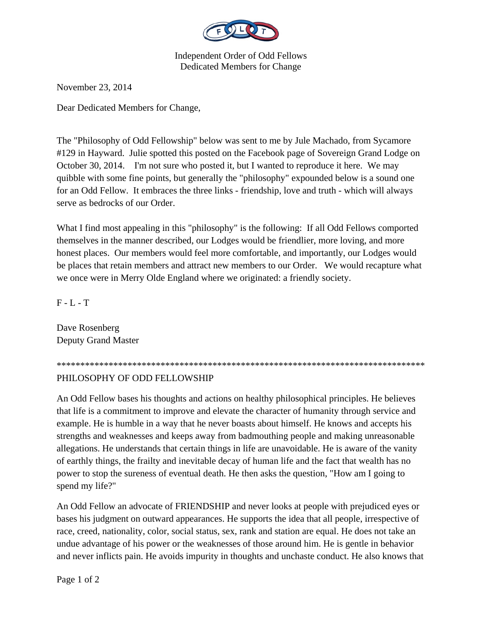

Independent Order of Odd Fellows Dedicated Members for Change

November 23, 2014

Dear Dedicated Members for Change,

The "Philosophy of Odd Fellowship" below was sent to me by Jule Machado, from Sycamore #129 in Hayward. Julie spotted this posted on the Facebook page of Sovereign Grand Lodge on October 30, 2014. I'm not sure who posted it, but I wanted to reproduce it here. We may quibble with some fine points, but generally the "philosophy" expounded below is a sound one for an Odd Fellow. It embraces the three links - friendship, love and truth - which will always serve as bedrocks of our Order.

What I find most appealing in this "philosophy" is the following: If all Odd Fellows comported themselves in the manner described, our Lodges would be friendlier, more loving, and more honest places. Our members would feel more comfortable, and importantly, our Lodges would be places that retain members and attract new members to our Order. We would recapture what we once were in Merry Olde England where we originated: a friendly society.

 $F - L - T$ 

Dave Rosenberg Deputy Grand Master

\*\*\*\*\*\*\*\*\*\*\*\*\*\*\*\*\*\*\*\*\*\*\*\*\*\*\*\*\*\*\*\*\*\*\*\*\*\*\*\*\*\*\*\*\*\*\*\*\*\*\*\*\*\*\*\*\*\*\*\*\*\*\*\*\*\*\*\*\*\*\*\*\*\*\*\*\*\*

## PHILOSOPHY OF ODD FELLOWSHIP

An Odd Fellow bases his thoughts and actions on healthy philosophical principles. He believes that life is a commitment to improve and elevate the character of humanity through service and example. He is humble in a way that he never boasts about himself. He knows and accepts his strengths and weaknesses and keeps away from badmouthing people and making unreasonable allegations. He understands that certain things in life are unavoidable. He is aware of the vanity of earthly things, the frailty and inevitable decay of human life and the fact that wealth has no power to stop the sureness of eventual death. He then asks the question, "How am I going to spend my life?"

An Odd Fellow an advocate of FRIENDSHIP and never looks at people with prejudiced eyes or bases his judgment on outward appearances. He supports the idea that all people, irrespective of race, creed, nationality, color, social status, sex, rank and station are equal. He does not take an undue advantage of his power or the weaknesses of those around him. He is gentle in behavior and never inflicts pain. He avoids impurity in thoughts and unchaste conduct. He also knows that